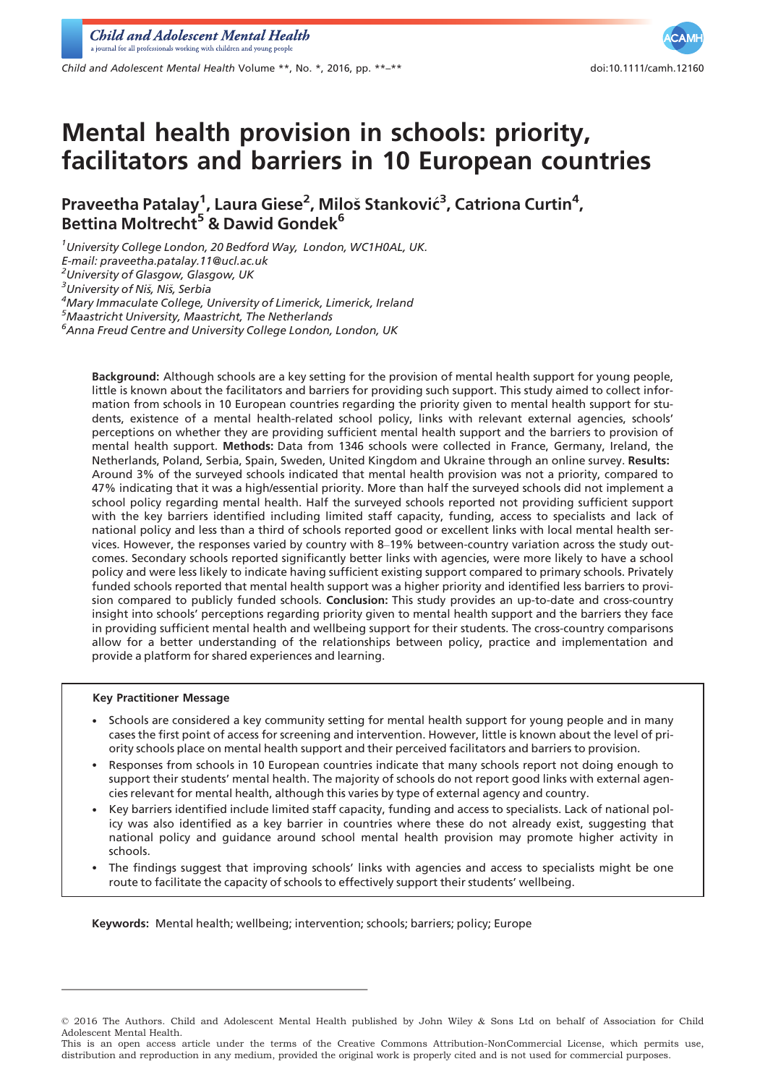Child and Adolescent Mental Health Volume \*\*, No. \*, 2016, pp. \*\*-\*\* doi:10.1111/camh.12160

# Mental health provision in schools: priority, facilitators and barriers in 10 European countries

Praveetha Patalay<sup>1</sup>, Laura Giese<sup>2</sup>, Miloš Stanković<sup>3</sup>, Catriona Curtin<sup>4</sup>, Bettina Moltrecht<sup>5</sup> & Dawid Gondek<sup>6</sup>

<sup>1</sup>University College London, 20 Bedford Way, London, WC1H0AL, UK. E-mail: praveetha.patalay.11@ucl.ac.uk <sup>2</sup>University of Glasgow, Glasgow, UK <sup>3</sup>University of Niš, Niš, Serbia<br><sup>4</sup>Mary Immaculate College, L Mary Immaculate College, University of Limerick, Limerick, Ireland 5 Maastricht University, Maastricht, The Netherlands

 $^6$ Anna Freud Centre and University College London, London, UK

Background: Although schools are a key setting for the provision of mental health support for young people, little is known about the facilitators and barriers for providing such support. This study aimed to collect information from schools in 10 European countries regarding the priority given to mental health support for students, existence of a mental health-related school policy, links with relevant external agencies, schools' perceptions on whether they are providing sufficient mental health support and the barriers to provision of mental health support. Methods: Data from 1346 schools were collected in France, Germany, Ireland, the Netherlands, Poland, Serbia, Spain, Sweden, United Kingdom and Ukraine through an online survey. Results: Around 3% of the surveyed schools indicated that mental health provision was not a priority, compared to 47% indicating that it was a high/essential priority. More than half the surveyed schools did not implement a school policy regarding mental health. Half the surveyed schools reported not providing sufficient support with the key barriers identified including limited staff capacity, funding, access to specialists and lack of national policy and less than a third of schools reported good or excellent links with local mental health services. However, the responses varied by country with 8–19% between-country variation across the study outcomes. Secondary schools reported significantly better links with agencies, were more likely to have a school policy and were less likely to indicate having sufficient existing support compared to primary schools. Privately funded schools reported that mental health support was a higher priority and identified less barriers to provision compared to publicly funded schools. Conclusion: This study provides an up-to-date and cross-country insight into schools' perceptions regarding priority given to mental health support and the barriers they face in providing sufficient mental health and wellbeing support for their students. The cross-country comparisons allow for a better understanding of the relationships between policy, practice and implementation and provide a platform for shared experiences and learning.

#### Key Practitioner Message

- Schools are considered a key community setting for mental health support for young people and in many cases the first point of access for screening and intervention. However, little is known about the level of priority schools place on mental health support and their perceived facilitators and barriers to provision.
- Responses from schools in 10 European countries indicate that many schools report not doing enough to support their students' mental health. The majority of schools do not report good links with external agencies relevant for mental health, although this varies by type of external agency and country.
- Key barriers identified include limited staff capacity, funding and access to specialists. Lack of national policy was also identified as a key barrier in countries where these do not already exist, suggesting that national policy and guidance around school mental health provision may promote higher activity in schools.
- The findings suggest that improving schools' links with agencies and access to specialists might be one route to facilitate the capacity of schools to effectively support their students' wellbeing.

Keywords: Mental health; wellbeing; intervention; schools; barriers; policy; Europe

<sup>©</sup> 2016 The Authors. Child and Adolescent Mental Health published by John Wiley & Sons Ltd on behalf of Association for Child Adolescent Mental Health.

This is an open access article under the terms of the [Creative Commons Attribution-NonCommercial](http://creativecommons.org/licenses/by-nc/4.0/) License, which permits use, distribution and reproduction in any medium, provided the original work is properly cited and is not used for commercial purposes.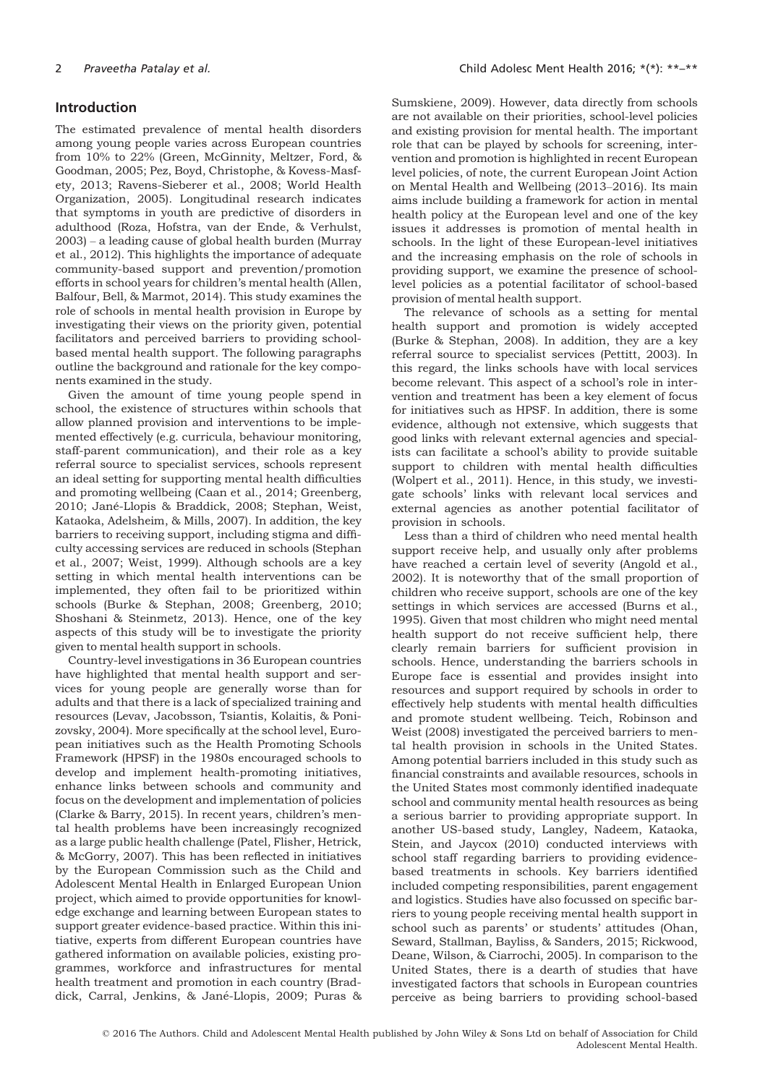# Introduction

The estimated prevalence of mental health disorders among young people varies across European countries from 10% to 22% (Green, McGinnity, Meltzer, Ford, & Goodman, 2005; Pez, Boyd, Christophe, & Kovess-Masfety, 2013; Ravens-Sieberer et al., 2008; World Health Organization, 2005). Longitudinal research indicates that symptoms in youth are predictive of disorders in adulthood (Roza, Hofstra, van der Ende, & Verhulst, 2003) – a leading cause of global health burden (Murray et al., 2012). This highlights the importance of adequate community-based support and prevention/promotion efforts in school years for children's mental health (Allen, Balfour, Bell, & Marmot, 2014). This study examines the role of schools in mental health provision in Europe by investigating their views on the priority given, potential facilitators and perceived barriers to providing schoolbased mental health support. The following paragraphs outline the background and rationale for the key components examined in the study.

Given the amount of time young people spend in school, the existence of structures within schools that allow planned provision and interventions to be implemented effectively (e.g. curricula, behaviour monitoring, staff-parent communication), and their role as a key referral source to specialist services, schools represent an ideal setting for supporting mental health difficulties and promoting wellbeing (Caan et al., 2014; Greenberg, 2010; Jané-Llopis & Braddick, 2008; Stephan, Weist, Kataoka, Adelsheim, & Mills, 2007). In addition, the key barriers to receiving support, including stigma and difficulty accessing services are reduced in schools (Stephan et al., 2007; Weist, 1999). Although schools are a key setting in which mental health interventions can be implemented, they often fail to be prioritized within schools (Burke & Stephan, 2008; Greenberg, 2010; Shoshani & Steinmetz, 2013). Hence, one of the key aspects of this study will be to investigate the priority given to mental health support in schools.

Country-level investigations in 36 European countries have highlighted that mental health support and services for young people are generally worse than for adults and that there is a lack of specialized training and resources (Levav, Jacobsson, Tsiantis, Kolaitis, & Ponizovsky, 2004). More specifically at the school level, European initiatives such as the Health Promoting Schools Framework (HPSF) in the 1980s encouraged schools to develop and implement health-promoting initiatives, enhance links between schools and community and focus on the development and implementation of policies (Clarke & Barry, 2015). In recent years, children's mental health problems have been increasingly recognized as a large public health challenge (Patel, Flisher, Hetrick, & McGorry, 2007). This has been reflected in initiatives by the European Commission such as the Child and Adolescent Mental Health in Enlarged European Union project, which aimed to provide opportunities for knowledge exchange and learning between European states to support greater evidence-based practice. Within this initiative, experts from different European countries have gathered information on available policies, existing programmes, workforce and infrastructures for mental health treatment and promotion in each country (Braddick, Carral, Jenkins, & Jane-Llopis, 2009; Puras &

Sumskiene, 2009). However, data directly from schools are not available on their priorities, school-level policies and existing provision for mental health. The important role that can be played by schools for screening, intervention and promotion is highlighted in recent European level policies, of note, the current European Joint Action on Mental Health and Wellbeing (2013–2016). Its main aims include building a framework for action in mental health policy at the European level and one of the key issues it addresses is promotion of mental health in schools. In the light of these European-level initiatives and the increasing emphasis on the role of schools in providing support, we examine the presence of schoollevel policies as a potential facilitator of school-based provision of mental health support.

The relevance of schools as a setting for mental health support and promotion is widely accepted (Burke & Stephan, 2008). In addition, they are a key referral source to specialist services (Pettitt, 2003). In this regard, the links schools have with local services become relevant. This aspect of a school's role in intervention and treatment has been a key element of focus for initiatives such as HPSF. In addition, there is some evidence, although not extensive, which suggests that good links with relevant external agencies and specialists can facilitate a school's ability to provide suitable support to children with mental health difficulties (Wolpert et al., 2011). Hence, in this study, we investigate schools' links with relevant local services and external agencies as another potential facilitator of provision in schools.

Less than a third of children who need mental health support receive help, and usually only after problems have reached a certain level of severity (Angold et al., 2002). It is noteworthy that of the small proportion of children who receive support, schools are one of the key settings in which services are accessed (Burns et al., 1995). Given that most children who might need mental health support do not receive sufficient help, there clearly remain barriers for sufficient provision in schools. Hence, understanding the barriers schools in Europe face is essential and provides insight into resources and support required by schools in order to effectively help students with mental health difficulties and promote student wellbeing. Teich, Robinson and Weist (2008) investigated the perceived barriers to mental health provision in schools in the United States. Among potential barriers included in this study such as financial constraints and available resources, schools in the United States most commonly identified inadequate school and community mental health resources as being a serious barrier to providing appropriate support. In another US-based study, Langley, Nadeem, Kataoka, Stein, and Jaycox (2010) conducted interviews with school staff regarding barriers to providing evidencebased treatments in schools. Key barriers identified included competing responsibilities, parent engagement and logistics. Studies have also focussed on specific barriers to young people receiving mental health support in school such as parents' or students' attitudes (Ohan, Seward, Stallman, Bayliss, & Sanders, 2015; Rickwood, Deane, Wilson, & Ciarrochi, 2005). In comparison to the United States, there is a dearth of studies that have investigated factors that schools in European countries perceive as being barriers to providing school-based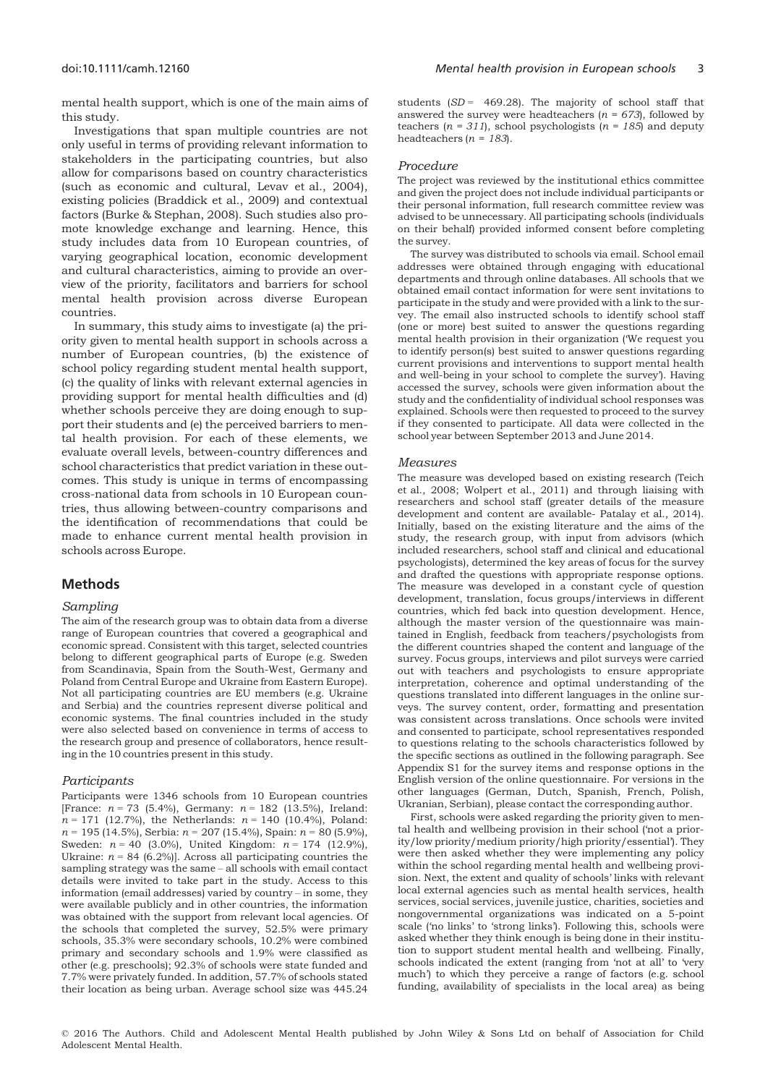mental health support, which is one of the main aims of this study.

Investigations that span multiple countries are not only useful in terms of providing relevant information to stakeholders in the participating countries, but also allow for comparisons based on country characteristics (such as economic and cultural, Levav et al., 2004), existing policies (Braddick et al., 2009) and contextual factors (Burke & Stephan, 2008). Such studies also promote knowledge exchange and learning. Hence, this study includes data from 10 European countries, of varying geographical location, economic development and cultural characteristics, aiming to provide an overview of the priority, facilitators and barriers for school mental health provision across diverse European countries.

In summary, this study aims to investigate (a) the priority given to mental health support in schools across a number of European countries, (b) the existence of school policy regarding student mental health support, (c) the quality of links with relevant external agencies in providing support for mental health difficulties and (d) whether schools perceive they are doing enough to support their students and (e) the perceived barriers to mental health provision. For each of these elements, we evaluate overall levels, between-country differences and school characteristics that predict variation in these outcomes. This study is unique in terms of encompassing cross-national data from schools in 10 European countries, thus allowing between-country comparisons and the identification of recommendations that could be made to enhance current mental health provision in schools across Europe.

## Methods

#### Sampling

The aim of the research group was to obtain data from a diverse range of European countries that covered a geographical and economic spread. Consistent with this target, selected countries belong to different geographical parts of Europe (e.g. Sweden from Scandinavia, Spain from the South-West, Germany and Poland from Central Europe and Ukraine from Eastern Europe). Not all participating countries are EU members (e.g. Ukraine and Serbia) and the countries represent diverse political and economic systems. The final countries included in the study were also selected based on convenience in terms of access to the research group and presence of collaborators, hence resulting in the 10 countries present in this study.

#### Participants

Participants were 1346 schools from 10 European countries [France:  $n = 73$  (5.4%), Germany:  $n = 182$  (13.5%), Ireland:  $n = 171$  (12.7%), the Netherlands:  $n = 140$  (10.4%), Poland:  $n = 195$  (14.5%), Serbia:  $n = 207$  (15.4%), Spain:  $n = 80$  (5.9%), Sweden:  $n = 40$  (3.0%), United Kingdom:  $n = 174$  (12.9%), Ukraine:  $n = 84$  (6.2%)]. Across all participating countries the sampling strategy was the same – all schools with email contact details were invited to take part in the study. Access to this information (email addresses) varied by country – in some, they were available publicly and in other countries, the information was obtained with the support from relevant local agencies. Of the schools that completed the survey, 52.5% were primary schools, 35.3% were secondary schools, 10.2% were combined primary and secondary schools and 1.9% were classified as other (e.g. preschools); 92.3% of schools were state funded and 7.7% were privately funded. In addition, 57.7% of schools stated their location as being urban. Average school size was 445.24 students  $(SD = 469.28)$ . The majority of school staff that answered the survey were headteachers ( $n = 673$ ), followed by teachers  $(n = 311)$ , school psychologists  $(n = 185)$  and deputy headteachers ( $n = 183$ ).

#### Procedure

The project was reviewed by the institutional ethics committee and given the project does not include individual participants or their personal information, full research committee review was advised to be unnecessary. All participating schools (individuals on their behalf) provided informed consent before completing the survey.

The survey was distributed to schools via email. School email addresses were obtained through engaging with educational departments and through online databases. All schools that we obtained email contact information for were sent invitations to participate in the study and were provided with a link to the survey. The email also instructed schools to identify school staff (one or more) best suited to answer the questions regarding mental health provision in their organization ('We request you to identify person(s) best suited to answer questions regarding current provisions and interventions to support mental health and well-being in your school to complete the survey'). Having accessed the survey, schools were given information about the study and the confidentiality of individual school responses was explained. Schools were then requested to proceed to the survey if they consented to participate. All data were collected in the school year between September 2013 and June 2014.

#### Measures

The measure was developed based on existing research (Teich et al., 2008; Wolpert et al., 2011) and through liaising with researchers and school staff (greater details of the measure development and content are available- Patalay et al., 2014). Initially, based on the existing literature and the aims of the study, the research group, with input from advisors (which included researchers, school staff and clinical and educational psychologists), determined the key areas of focus for the survey and drafted the questions with appropriate response options. The measure was developed in a constant cycle of question development, translation, focus groups/interviews in different countries, which fed back into question development. Hence, although the master version of the questionnaire was maintained in English, feedback from teachers/psychologists from the different countries shaped the content and language of the survey. Focus groups, interviews and pilot surveys were carried out with teachers and psychologists to ensure appropriate interpretation, coherence and optimal understanding of the questions translated into different languages in the online surveys. The survey content, order, formatting and presentation was consistent across translations. Once schools were invited and consented to participate, school representatives responded to questions relating to the schools characteristics followed by the specific sections as outlined in the following paragraph. See Appendix S1 for the survey items and response options in the English version of the online questionnaire. For versions in the other languages (German, Dutch, Spanish, French, Polish, Ukranian, Serbian), please contact the corresponding author.

First, schools were asked regarding the priority given to mental health and wellbeing provision in their school ('not a priority/low priority/medium priority/high priority/essential'). They were then asked whether they were implementing any policy within the school regarding mental health and wellbeing provision. Next, the extent and quality of schools' links with relevant local external agencies such as mental health services, health services, social services, juvenile justice, charities, societies and nongovernmental organizations was indicated on a 5-point scale ('no links' to 'strong links'). Following this, schools were asked whether they think enough is being done in their institution to support student mental health and wellbeing. Finally, schools indicated the extent (ranging from 'not at all' to 'very much') to which they perceive a range of factors (e.g. school funding, availability of specialists in the local area) as being

© 2016 The Authors. Child and Adolescent Mental Health published by John Wiley & Sons Ltd on behalf of Association for Child Adolescent Mental Health.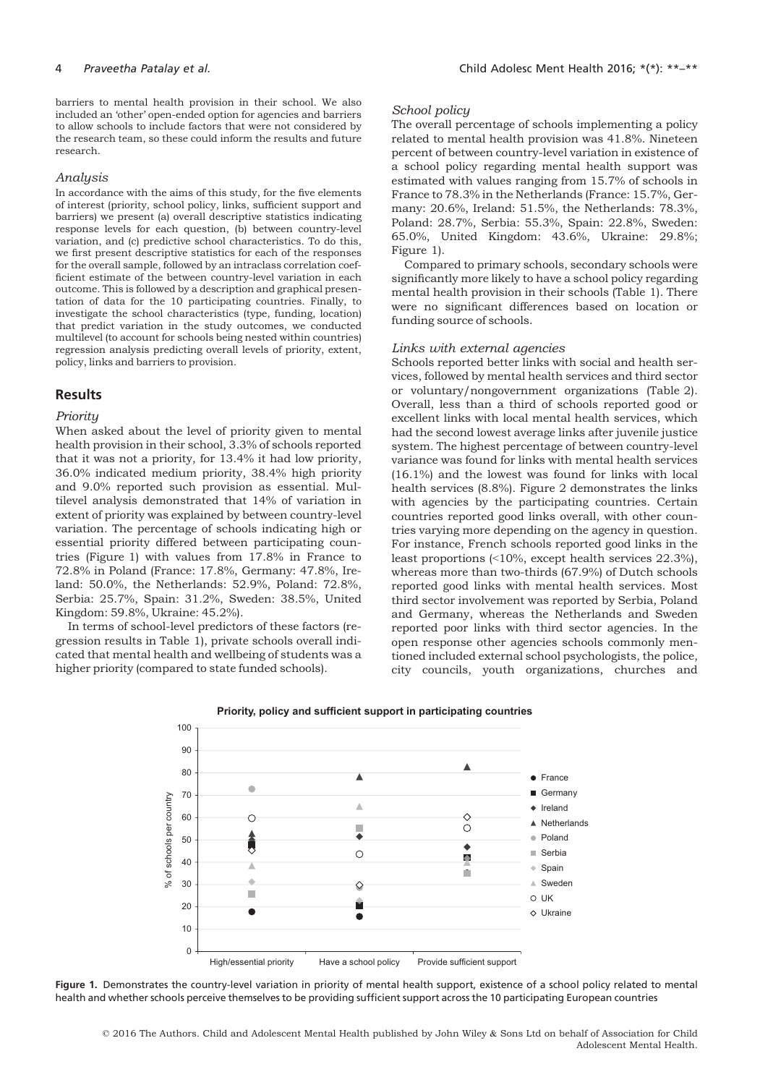barriers to mental health provision in their school. We also included an 'other' open-ended option for agencies and barriers to allow schools to include factors that were not considered by the research team, so these could inform the results and future research.

### Analysis

In accordance with the aims of this study, for the five elements of interest (priority, school policy, links, sufficient support and barriers) we present (a) overall descriptive statistics indicating response levels for each question, (b) between country-level variation, and (c) predictive school characteristics. To do this, we first present descriptive statistics for each of the responses for the overall sample, followed by an intraclass correlation coefficient estimate of the between country-level variation in each outcome. This is followed by a description and graphical presentation of data for the 10 participating countries. Finally, to investigate the school characteristics (type, funding, location) that predict variation in the study outcomes, we conducted multilevel (to account for schools being nested within countries) regression analysis predicting overall levels of priority, extent, policy, links and barriers to provision.

## **Results**

#### **Prioritu**

When asked about the level of priority given to mental health provision in their school, 3.3% of schools reported that it was not a priority, for 13.4% it had low priority, 36.0% indicated medium priority, 38.4% high priority and 9.0% reported such provision as essential. Multilevel analysis demonstrated that 14% of variation in extent of priority was explained by between country-level variation. The percentage of schools indicating high or essential priority differed between participating countries (Figure 1) with values from 17.8% in France to 72.8% in Poland (France: 17.8%, Germany: 47.8%, Ireland: 50.0%, the Netherlands: 52.9%, Poland: 72.8%, Serbia: 25.7%, Spain: 31.2%, Sweden: 38.5%, United Kingdom: 59.8%, Ukraine: 45.2%).

In terms of school-level predictors of these factors (regression results in Table 1), private schools overall indicated that mental health and wellbeing of students was a higher priority (compared to state funded schools).

#### School policy

The overall percentage of schools implementing a policy related to mental health provision was 41.8%. Nineteen percent of between country-level variation in existence of a school policy regarding mental health support was estimated with values ranging from 15.7% of schools in France to 78.3% in the Netherlands (France: 15.7%, Germany: 20.6%, Ireland: 51.5%, the Netherlands: 78.3%, Poland: 28.7%, Serbia: 55.3%, Spain: 22.8%, Sweden: 65.0%, United Kingdom: 43.6%, Ukraine: 29.8%; Figure 1).

Compared to primary schools, secondary schools were significantly more likely to have a school policy regarding mental health provision in their schools (Table 1). There were no significant differences based on location or funding source of schools.

#### Links with external agencies

Schools reported better links with social and health services, followed by mental health services and third sector or voluntary/nongovernment organizations (Table 2). Overall, less than a third of schools reported good or excellent links with local mental health services, which had the second lowest average links after juvenile justice system. The highest percentage of between country-level variance was found for links with mental health services (16.1%) and the lowest was found for links with local health services (8.8%). Figure 2 demonstrates the links with agencies by the participating countries. Certain countries reported good links overall, with other countries varying more depending on the agency in question. For instance, French schools reported good links in the least proportions (<10%, except health services 22.3%), whereas more than two-thirds (67.9%) of Dutch schools reported good links with mental health services. Most third sector involvement was reported by Serbia, Poland and Germany, whereas the Netherlands and Sweden reported poor links with third sector agencies. In the open response other agencies schools commonly mentioned included external school psychologists, the police, city councils, youth organizations, churches and



#### **Priority, policy and sufficient support in participating countries**

Figure 1. Demonstrates the country-level variation in priority of mental health support, existence of a school policy related to mental health and whether schools perceive themselves to be providing sufficient support across the 10 participating European countries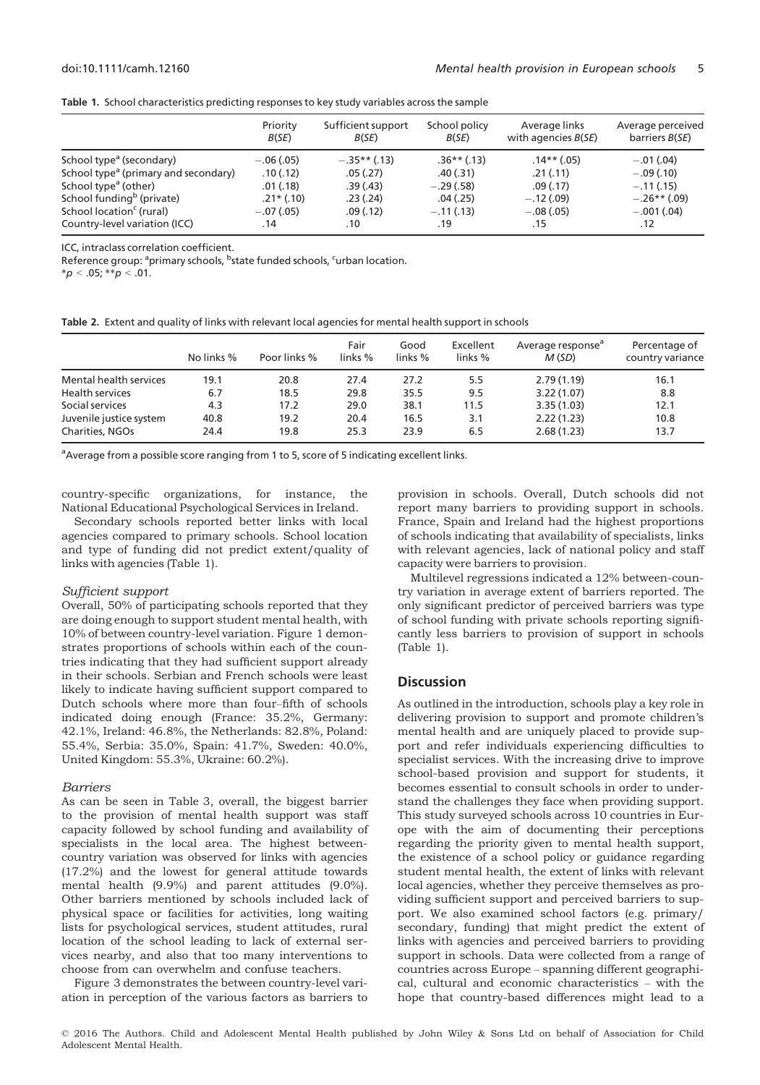|  |  | Table 1. School characteristics predicting responses to key study variables across the sample |  |  |
|--|--|-----------------------------------------------------------------------------------------------|--|--|
|--|--|-----------------------------------------------------------------------------------------------|--|--|

|                                                  | Priority<br>B(SE) | Sufficient support<br>B(SE) | School policy<br>B(SE) | Average links<br>with agencies $B(SE)$ | Average perceived<br>barriers B(SE) |
|--------------------------------------------------|-------------------|-----------------------------|------------------------|----------------------------------------|-------------------------------------|
| School type <sup>a</sup> (secondary)             | $-.06(.05)$       | $-.35**(.13)$               | $.36***(.13)$          | $.14***$ (.05)                         | $-.01(.04)$                         |
| School type <sup>a</sup> (primary and secondary) | .10(0.12)         | .05(.27)                    | .40(.31)               | .21(.11)                               | $-.09(.10)$                         |
| School type <sup>a</sup> (other)                 | .01(.18)          | .39(.43)                    | $-.29(.58)$            | .09(.17)                               | $-.11(.15)$                         |
| School funding <sup>b</sup> (private)            | $.21*(.10)$       | .23(.24)                    | .04(.25)               | $-.12(.09)$                            | $-.26**(.09)$                       |
| School location <sup>c</sup> (rural)             | $-.07(.05)$       | .09(.12)                    | $-.11(.13)$            | $-.08(.05)$                            | $-.001(.04)$                        |
| Country-level variation (ICC)                    | .14               | .10                         | .19                    | .15                                    | .12                                 |

ICC, intraclass correlation coefficient.

Reference group: <sup>a</sup>primary schools, <sup>b</sup>state funded schools, <sup>c</sup>urban location.

 $*p < .05; **p < .01$ .

|                         | No links % | Poor links % | Fair<br>links % | Good<br>links % | Excellent<br>links % | Average response <sup>a</sup><br>M (SD) | Percentage of<br>country variance |
|-------------------------|------------|--------------|-----------------|-----------------|----------------------|-----------------------------------------|-----------------------------------|
| Mental health services  | 19.1       | 20.8         | 27.4            | 27.2            | 5.5                  | 2.79(1.19)                              | 16.1                              |
| <b>Health services</b>  | 6.7        | 18.5         | 29.8            | 35.5            | 9.5                  | 3.22(1.07)                              | 8.8                               |
| Social services         | 4.3        | 17.2         | 29.0            | 38.1            | 11.5                 | 3.35(1.03)                              | 12.1                              |
| Juvenile justice system | 40.8       | 19.2         | 20.4            | 16.5            | 3.1                  | 2.22(1.23)                              | 10.8                              |
| Charities, NGOs         | 24.4       | 19.8         | 25.3            | 23.9            | 6.5                  | 2.68(1.23)                              | 13.7                              |

<sup>a</sup> Average from a possible score ranging from 1 to 5, score of 5 indicating excellent links.

country-specific organizations, for instance, the National Educational Psychological Services in Ireland.

Secondary schools reported better links with local agencies compared to primary schools. School location and type of funding did not predict extent/quality of links with agencies (Table 1).

#### Sufficient support

Overall, 50% of participating schools reported that they are doing enough to support student mental health, with 10% of between country-level variation. Figure 1 demonstrates proportions of schools within each of the countries indicating that they had sufficient support already in their schools. Serbian and French schools were least likely to indicate having sufficient support compared to Dutch schools where more than four–fifth of schools indicated doing enough (France: 35.2%, Germany: 42.1%, Ireland: 46.8%, the Netherlands: 82.8%, Poland: 55.4%, Serbia: 35.0%, Spain: 41.7%, Sweden: 40.0%, United Kingdom: 55.3%, Ukraine: 60.2%).

#### Barriers

As can be seen in Table 3, overall, the biggest barrier to the provision of mental health support was staff capacity followed by school funding and availability of specialists in the local area. The highest betweencountry variation was observed for links with agencies (17.2%) and the lowest for general attitude towards mental health (9.9%) and parent attitudes (9.0%). Other barriers mentioned by schools included lack of physical space or facilities for activities, long waiting lists for psychological services, student attitudes, rural location of the school leading to lack of external services nearby, and also that too many interventions to choose from can overwhelm and confuse teachers.

Figure 3 demonstrates the between country-level variation in perception of the various factors as barriers to provision in schools. Overall, Dutch schools did not report many barriers to providing support in schools. France, Spain and Ireland had the highest proportions of schools indicating that availability of specialists, links with relevant agencies, lack of national policy and staff capacity were barriers to provision.

Multilevel regressions indicated a 12% between-country variation in average extent of barriers reported. The only significant predictor of perceived barriers was type of school funding with private schools reporting significantly less barriers to provision of support in schools (Table 1).

## **Discussion**

As outlined in the introduction, schools play a key role in delivering provision to support and promote children's mental health and are uniquely placed to provide support and refer individuals experiencing difficulties to specialist services. With the increasing drive to improve school-based provision and support for students, it becomes essential to consult schools in order to understand the challenges they face when providing support. This study surveyed schools across 10 countries in Europe with the aim of documenting their perceptions regarding the priority given to mental health support, the existence of a school policy or guidance regarding student mental health, the extent of links with relevant local agencies, whether they perceive themselves as providing sufficient support and perceived barriers to support. We also examined school factors (e.g. primary/ secondary, funding) that might predict the extent of links with agencies and perceived barriers to providing support in schools. Data were collected from a range of countries across Europe – spanning different geographical, cultural and economic characteristics – with the hope that country-based differences might lead to a

© 2016 The Authors. Child and Adolescent Mental Health published by John Wiley & Sons Ltd on behalf of Association for Child Adolescent Mental Health.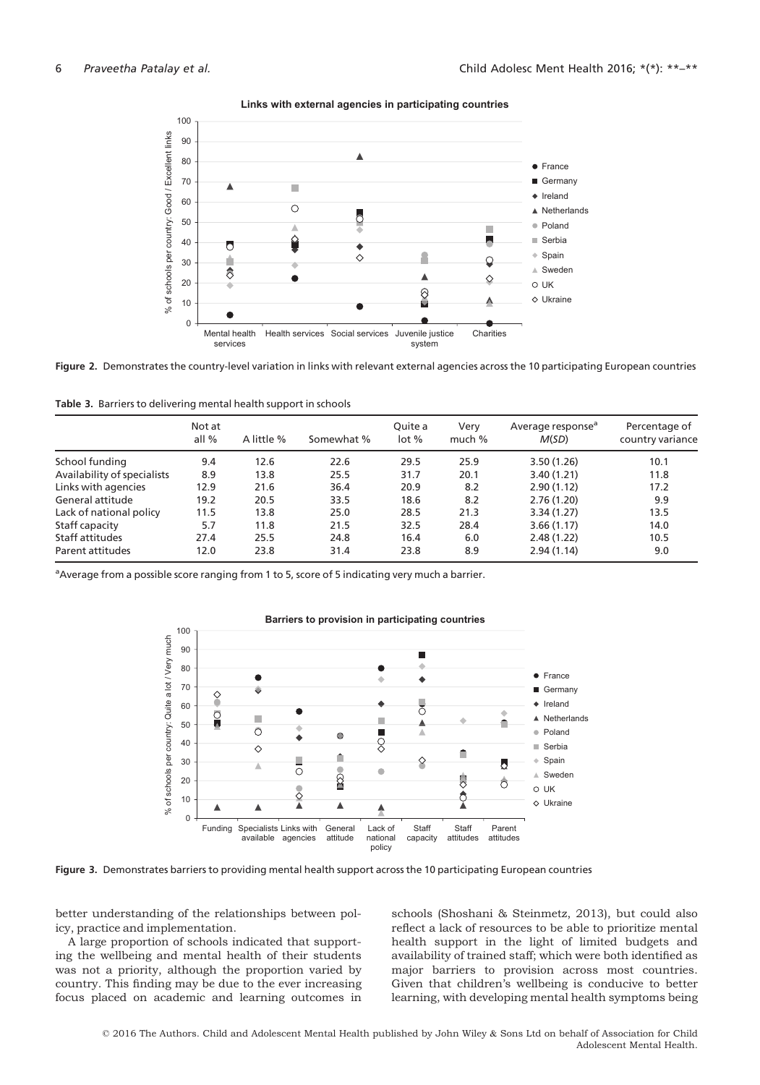

**Links with external agencies in participating countries**

Figure 2. Demonstrates the country-level variation in links with relevant external agencies across the 10 participating European countries

|  |  |  |  | Table 3. Barriers to delivering mental health support in schools |
|--|--|--|--|------------------------------------------------------------------|
|--|--|--|--|------------------------------------------------------------------|

|                             | Not at<br>all $%$ | A little % | Somewhat % | Ouite a<br>lot% | Verv<br>much % | Average response <sup>a</sup><br>M(SD) | Percentage of<br>country variance |
|-----------------------------|-------------------|------------|------------|-----------------|----------------|----------------------------------------|-----------------------------------|
| School funding              | 9.4               | 12.6       | 22.6       | 29.5            | 25.9           | 3.50(1.26)                             | 10.1                              |
| Availability of specialists | 8.9               | 13.8       | 25.5       | 31.7            | 20.1           | 3.40(1.21)                             | 11.8                              |
| Links with agencies         | 12.9              | 21.6       | 36.4       | 20.9            | 8.2            | 2.90(1.12)                             | 17.2                              |
| General attitude            | 19.2              | 20.5       | 33.5       | 18.6            | 8.2            | 2.76(1.20)                             | 9.9                               |
| Lack of national policy     | 11.5              | 13.8       | 25.0       | 28.5            | 21.3           | 3.34(1.27)                             | 13.5                              |
| Staff capacity              | 5.7               | 11.8       | 21.5       | 32.5            | 28.4           | 3.66(1.17)                             | 14.0                              |
| Staff attitudes             | 27.4              | 25.5       | 24.8       | 16.4            | 6.0            | 2.48(1.22)                             | 10.5                              |
| Parent attitudes            | 12.0              | 23.8       | 31.4       | 23.8            | 8.9            | 2.94(1.14)                             | 9.0                               |

<sup>a</sup> Average from a possible score ranging from 1 to 5, score of 5 indicating very much a barrier.



Figure 3. Demonstrates barriers to providing mental health support across the 10 participating European countries

better understanding of the relationships between policy, practice and implementation.

A large proportion of schools indicated that supporting the wellbeing and mental health of their students was not a priority, although the proportion varied by country. This finding may be due to the ever increasing focus placed on academic and learning outcomes in

schools (Shoshani & Steinmetz, 2013), but could also reflect a lack of resources to be able to prioritize mental health support in the light of limited budgets and availability of trained staff; which were both identified as major barriers to provision across most countries. Given that children's wellbeing is conducive to better learning, with developing mental health symptoms being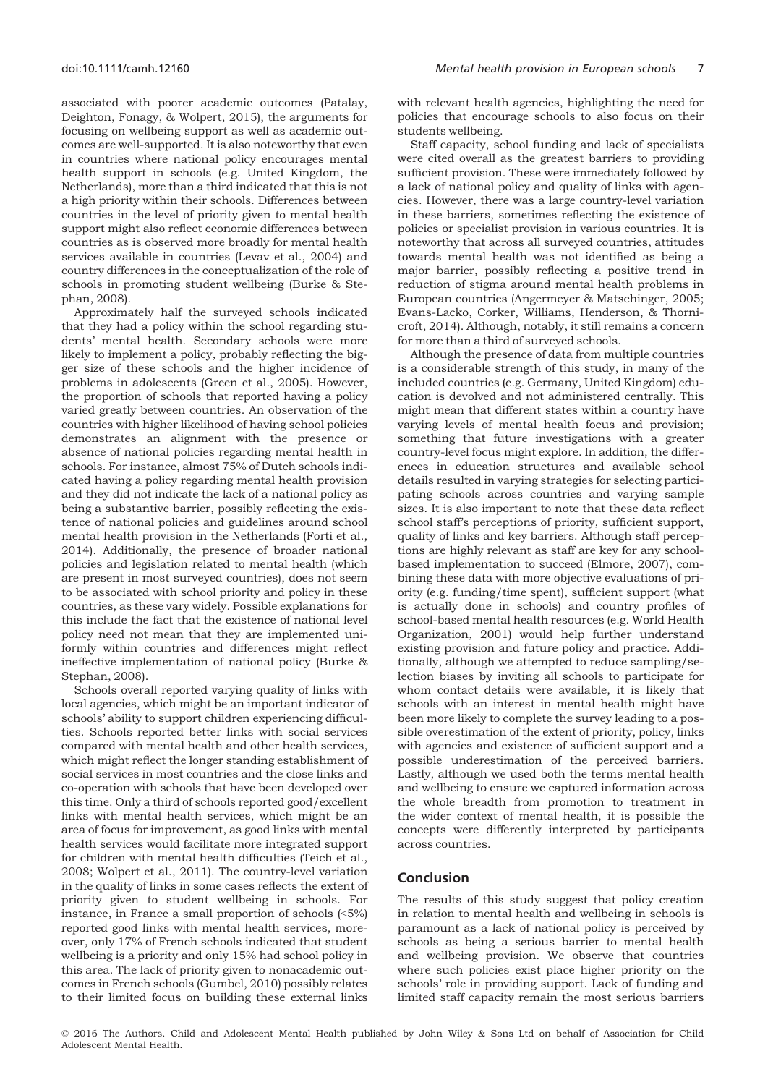associated with poorer academic outcomes (Patalay, Deighton, Fonagy, & Wolpert, 2015), the arguments for focusing on wellbeing support as well as academic outcomes are well-supported. It is also noteworthy that even in countries where national policy encourages mental health support in schools (e.g. United Kingdom, the Netherlands), more than a third indicated that this is not a high priority within their schools. Differences between countries in the level of priority given to mental health support might also reflect economic differences between countries as is observed more broadly for mental health services available in countries (Levav et al., 2004) and country differences in the conceptualization of the role of schools in promoting student wellbeing (Burke & Stephan, 2008).

Approximately half the surveyed schools indicated that they had a policy within the school regarding students' mental health. Secondary schools were more likely to implement a policy, probably reflecting the bigger size of these schools and the higher incidence of problems in adolescents (Green et al., 2005). However, the proportion of schools that reported having a policy varied greatly between countries. An observation of the countries with higher likelihood of having school policies demonstrates an alignment with the presence or absence of national policies regarding mental health in schools. For instance, almost 75% of Dutch schools indicated having a policy regarding mental health provision and they did not indicate the lack of a national policy as being a substantive barrier, possibly reflecting the existence of national policies and guidelines around school mental health provision in the Netherlands (Forti et al., 2014). Additionally, the presence of broader national policies and legislation related to mental health (which are present in most surveyed countries), does not seem to be associated with school priority and policy in these countries, as these vary widely. Possible explanations for this include the fact that the existence of national level policy need not mean that they are implemented uniformly within countries and differences might reflect ineffective implementation of national policy (Burke & Stephan, 2008).

Schools overall reported varying quality of links with local agencies, which might be an important indicator of schools' ability to support children experiencing difficulties. Schools reported better links with social services compared with mental health and other health services, which might reflect the longer standing establishment of social services in most countries and the close links and co-operation with schools that have been developed over this time. Only a third of schools reported good/excellent links with mental health services, which might be an area of focus for improvement, as good links with mental health services would facilitate more integrated support for children with mental health difficulties (Teich et al., 2008; Wolpert et al., 2011). The country-level variation in the quality of links in some cases reflects the extent of priority given to student wellbeing in schools. For instance, in France a small proportion of schools (<5%) reported good links with mental health services, moreover, only 17% of French schools indicated that student wellbeing is a priority and only 15% had school policy in this area. The lack of priority given to nonacademic outcomes in French schools (Gumbel, 2010) possibly relates to their limited focus on building these external links

with relevant health agencies, highlighting the need for policies that encourage schools to also focus on their students wellbeing.

Staff capacity, school funding and lack of specialists were cited overall as the greatest barriers to providing sufficient provision. These were immediately followed by a lack of national policy and quality of links with agencies. However, there was a large country-level variation in these barriers, sometimes reflecting the existence of policies or specialist provision in various countries. It is noteworthy that across all surveyed countries, attitudes towards mental health was not identified as being a major barrier, possibly reflecting a positive trend in reduction of stigma around mental health problems in European countries (Angermeyer & Matschinger, 2005; Evans-Lacko, Corker, Williams, Henderson, & Thornicroft, 2014). Although, notably, it still remains a concern for more than a third of surveyed schools.

Although the presence of data from multiple countries is a considerable strength of this study, in many of the included countries (e.g. Germany, United Kingdom) education is devolved and not administered centrally. This might mean that different states within a country have varying levels of mental health focus and provision; something that future investigations with a greater country-level focus might explore. In addition, the differences in education structures and available school details resulted in varying strategies for selecting participating schools across countries and varying sample sizes. It is also important to note that these data reflect school staff's perceptions of priority, sufficient support, quality of links and key barriers. Although staff perceptions are highly relevant as staff are key for any schoolbased implementation to succeed (Elmore, 2007), combining these data with more objective evaluations of priority (e.g. funding/time spent), sufficient support (what is actually done in schools) and country profiles of school-based mental health resources (e.g. World Health Organization, 2001) would help further understand existing provision and future policy and practice. Additionally, although we attempted to reduce sampling/selection biases by inviting all schools to participate for whom contact details were available, it is likely that schools with an interest in mental health might have been more likely to complete the survey leading to a possible overestimation of the extent of priority, policy, links with agencies and existence of sufficient support and a possible underestimation of the perceived barriers. Lastly, although we used both the terms mental health and wellbeing to ensure we captured information across the whole breadth from promotion to treatment in the wider context of mental health, it is possible the concepts were differently interpreted by participants across countries.

# Conclusion

The results of this study suggest that policy creation in relation to mental health and wellbeing in schools is paramount as a lack of national policy is perceived by schools as being a serious barrier to mental health and wellbeing provision. We observe that countries where such policies exist place higher priority on the schools' role in providing support. Lack of funding and limited staff capacity remain the most serious barriers

© 2016 The Authors. Child and Adolescent Mental Health published by John Wiley & Sons Ltd on behalf of Association for Child Adolescent Mental Health.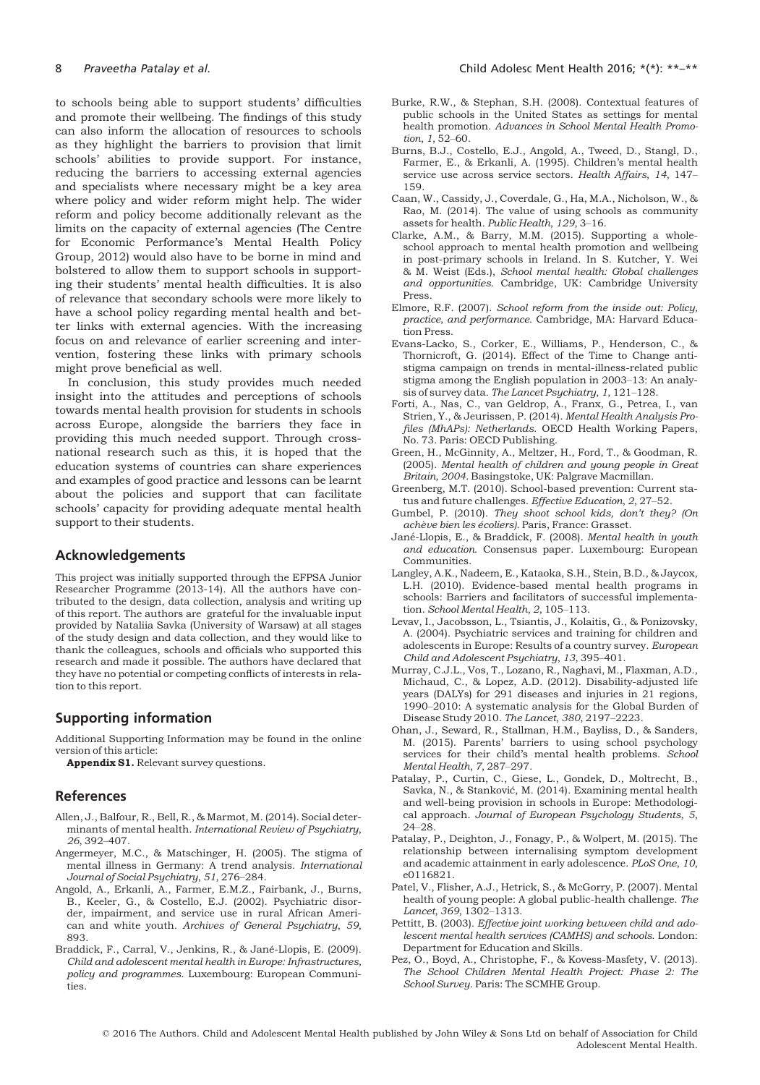to schools being able to support students' difficulties and promote their wellbeing. The findings of this study can also inform the allocation of resources to schools as they highlight the barriers to provision that limit schools' abilities to provide support. For instance, reducing the barriers to accessing external agencies and specialists where necessary might be a key area where policy and wider reform might help. The wider reform and policy become additionally relevant as the limits on the capacity of external agencies (The Centre for Economic Performance's Mental Health Policy Group, 2012) would also have to be borne in mind and bolstered to allow them to support schools in supporting their students' mental health difficulties. It is also of relevance that secondary schools were more likely to have a school policy regarding mental health and better links with external agencies. With the increasing focus on and relevance of earlier screening and intervention, fostering these links with primary schools might prove beneficial as well.

In conclusion, this study provides much needed insight into the attitudes and perceptions of schools towards mental health provision for students in schools across Europe, alongside the barriers they face in providing this much needed support. Through crossnational research such as this, it is hoped that the education systems of countries can share experiences and examples of good practice and lessons can be learnt about the policies and support that can facilitate schools' capacity for providing adequate mental health support to their students.

## Acknowledgements

This project was initially supported through the EFPSA Junior Researcher Programme (2013-14). All the authors have contributed to the design, data collection, analysis and writing up of this report. The authors are grateful for the invaluable input provided by Nataliia Savka (University of Warsaw) at all stages of the study design and data collection, and they would like to thank the colleagues, schools and officials who supported this research and made it possible. The authors have declared that they have no potential or competing conflicts of interests in relation to this report.

# Supporting information

Additional Supporting Information may be found in the online version of this article:

Appendix S1. Relevant survey questions.

# References

- Allen, J., Balfour, R., Bell, R., & Marmot, M. (2014). Social determinants of mental health. International Review of Psychiatry, 26, 392–407.
- Angermeyer, M.C., & Matschinger, H. (2005). The stigma of mental illness in Germany: A trend analysis. International Journal of Social Psychiatry, 51, 276–284.
- Angold, A., Erkanli, A., Farmer, E.M.Z., Fairbank, J., Burns, B., Keeler, G., & Costello, E.J. (2002). Psychiatric disorder, impairment, and service use in rural African American and white youth. Archives of General Psychiatry, 59, 893.
- Braddick, F., Carral, V., Jenkins, R., & Jané-Llopis, E. (2009). Child and adolescent mental health in Europe: Infrastructures, policy and programmes. Luxembourg: European Communities.
- Burke, R.W., & Stephan, S.H. (2008). Contextual features of public schools in the United States as settings for mental health promotion. Advances in School Mental Health Promotion, 1, 52–60.
- Burns, B.J., Costello, E.J., Angold, A., Tweed, D., Stangl, D., Farmer, E., & Erkanli, A. (1995). Children's mental health service use across service sectors. Health Affairs, 14, 147– 159.
- Caan, W., Cassidy, J., Coverdale, G., Ha, M.A., Nicholson, W., & Rao, M. (2014). The value of using schools as community assets for health. Public Health, 129, 3–16.
- Clarke, A.M., & Barry, M.M. (2015). Supporting a wholeschool approach to mental health promotion and wellbeing in post-primary schools in Ireland. In S. Kutcher, Y. Wei & M. Weist (Eds.), School mental health: Global challenges and opportunities. Cambridge, UK: Cambridge University Press.
- Elmore, R.F. (2007). School reform from the inside out: Policy, practice, and performance. Cambridge, MA: Harvard Education Press.
- Evans-Lacko, S., Corker, E., Williams, P., Henderson, C., & Thornicroft, G. (2014). Effect of the Time to Change antistigma campaign on trends in mental-illness-related public stigma among the English population in 2003–13: An analysis of survey data. The Lancet Psychiatry, 1, 121–128.
- Forti, A., Nas, C., van Geldrop, A., Franx, G., Petrea, I., van Strien, Y., & Jeurissen, P. (2014). Mental Health Analysis Profiles (MhAPs): Netherlands. OECD Health Working Papers, No. 73. Paris: OECD Publishing.
- Green, H., McGinnity, A., Meltzer, H., Ford, T., & Goodman, R. (2005). Mental health of children and young people in Great Britain, 2004. Basingstoke, UK: Palgrave Macmillan.
- Greenberg, M.T. (2010). School-based prevention: Current status and future challenges. Effective Education, 2, 27–52.
- Gumbel, P. (2010). They shoot school kids, don't they? (On achève bien les écoliers). Paris, France: Grasset.
- Jané-Llopis, E., & Braddick, F. (2008). Mental health in youth and education. Consensus paper. Luxembourg: European Communities.
- Langley, A.K., Nadeem, E., Kataoka, S.H., Stein, B.D., & Jaycox, L.H. (2010). Evidence-based mental health programs in schools: Barriers and facilitators of successful implementation. School Mental Health, 2, 105–113.
- Levav, I., Jacobsson, L., Tsiantis, J., Kolaitis, G., & Ponizovsky, A. (2004). Psychiatric services and training for children and adolescents in Europe: Results of a country survey. European Child and Adolescent Psychiatry, 13, 395–401.
- Murray, C.J.L., Vos, T., Lozano, R., Naghavi, M., Flaxman, A.D., Michaud, C., & Lopez, A.D. (2012). Disability-adjusted life years (DALYs) for 291 diseases and injuries in 21 regions, 1990–2010: A systematic analysis for the Global Burden of Disease Study 2010. The Lancet, 380, 2197–2223.
- Ohan, J., Seward, R., Stallman, H.M., Bayliss, D., & Sanders, M. (2015). Parents' barriers to using school psychology services for their child's mental health problems. School Mental Health, 7, 287–297.
- Patalay, P., Curtin, C., Giese, L., Gondek, D., Moltrecht, B., Savka, N., & Stankovic, M. (2014). Examining mental health and well-being provision in schools in Europe: Methodological approach. Journal of European Psychology Students, 5, 24–28.
- Patalay, P., Deighton, J., Fonagy, P., & Wolpert, M. (2015). The relationship between internalising symptom development and academic attainment in early adolescence. PLoS One, 10, e0116821.
- Patel, V., Flisher, A.J., Hetrick, S., & McGorry, P. (2007). Mental health of young people: A global public-health challenge. The Lancet, 369, 1302–1313.
- Pettitt, B. (2003). Effective joint working between child and adolescent mental health services (CAMHS) and schools. London: Department for Education and Skills.
- Pez, O., Boyd, A., Christophe, F., & Kovess-Masfety, V. (2013). The School Children Mental Health Project: Phase 2: The School Survey. Paris: The SCMHE Group.